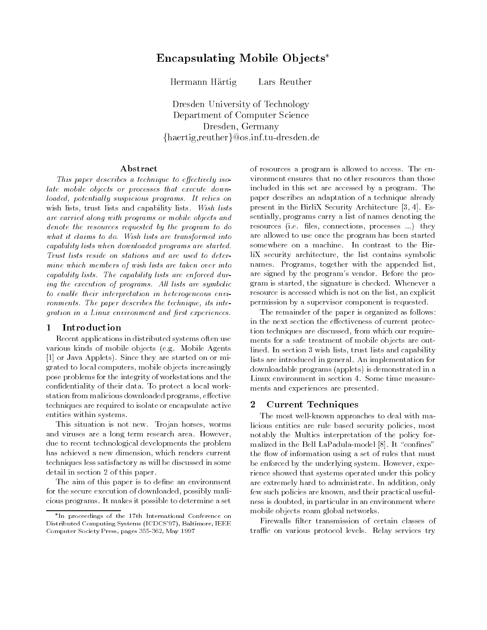# Encapsulating Mobile Ob jects

Hermann HartigLars Reuther

Dresden University of TechnologyDepartment of Computer ScienceDresden, Germany ${haertig, reuther}@os.inf.tu-dresden.de$ 

#### Abstract

This paper describes a technique to effectively isolate mobile objects or processes that execute downloaded, potentially suspicious programs. It relies on wish lists, trust lists and capability lists. Wish lists are carried along with programs or mobile objects and denote the resources requested by the program to do what it claims to do. Wish lists are transformed into capability lists when downloaded programs are started. Trust lists reside on stations and are used to determine which members of wish lists are taken over into capability lists. The capability lists are enforced during the execution of programs. All lists are symbolic to enable their interpretation in heterogeneous environments. The paper describes the technique, its integration in a Linux environment and first experiences.

#### **Introduction**  $\mathbf{1}$

Recent applications in distributed systems often use various kinds of mobile objects (e.g. Mobile Agents [1] or Java Applets). Since they are started on or migrated to local computers, mobile objects increasingly pose problems for the integrity of workstations and the condentiality of their data. To protect a local workstation from malicious downloaded programs, effective techniques are required to isolate or encapsulate active entities within systems.

This situation is not new. Trojan horses, worms and viruses are a long term research area. However, due to recent technological developments the problem has achieved a new dimension, which renders current techniques less satisfactory as will be discussed in some detail in section 2 of this paper.

The aim of this paper is to define an environment for the secure execution of downloaded, possibly malicious programs. It makes it possible to determine a set

of resources a program is allowed to access. The environment ensures that no other resources than those included in this set are accessed by a program. The paper describes an adaptation of a technique already present in the BirliX Security Architecture [3, 4]. Essentially, programs carry a list of names denoting the resources (i.e. files, connections, processes ...) they are allowed to use once the program has been started somewhere on a machine. In contrast to the BirliX security architecture, the list contains symbolic names. Programs, together with the appended list, are signed by the program's vendor. Before the program is started, the signature is checked. Whenever a resource is accessed which is not on the list, an explicit permission by a supervisor component is requested.

The remainder of the paper is organized as follows: in the next section the effectiveness of current protection techniques are discussed, from which our require ments for a safe treatment of mobile objects are outlined. In section 3 wish lists, trust lists and capability lists are introduced in general. An implementation for downloadable programs (applets) is demonstrated in a Linux environment in section 4. Some time measure ments and experiences are presented.

### 2 Current Techniques

The most well-known approaches to deal with malicious entities are rule based security policies, most notably the Multics interpretation of the policy formalized in the Bell LaPadula-model  $[8]$ . It "confines" the flow of information using a set of rules that must be enforced by the underlying system. However, experience showed that systems operated under this policy are extremely hard to administrate. In addition, only few such policies are known, and their practical usefulness is doubted, in particular in an environment where mobile objects roam global networks.

Firewalls filter transmission of certain classes of traffic on various protocol levels. Relay services try

In proceedings of the 17th International Conference onDistributed Computing Systems (ICDCS'97), Baltimore, IEEEComputer Society Press, pages 355-362, May 1997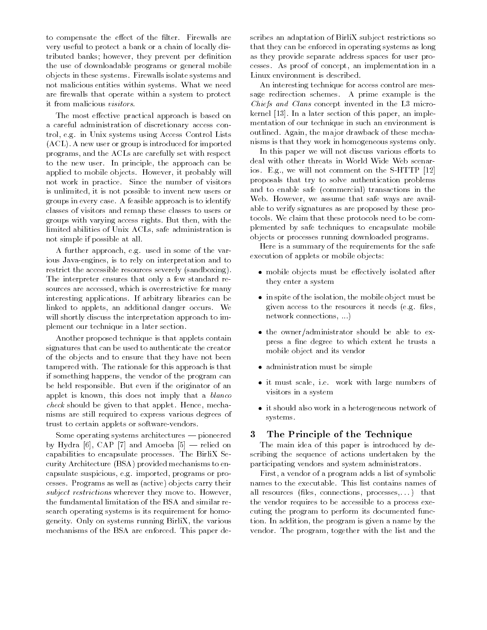to compensate the effect of the filter. Firewalls are very useful to protect a bank or a chain of locally distributed banks; however, they prevent per definition the use of downloadable programs or general mobile objects in these systems. Firewalls isolate systems and not malicious entities within systems. What we need are firewalls that operate within a system to protect it from malicious visitors.

The most effective practical approach is based on a careful administration of discretionary access control, e.g. in Unix systems using Access Control Lists (ACL). A new user or group is introduced for imported programs, and the ACLs are carefully set with respect to the new user. In principle, the approach can be applied to mobile objects. However, it probably will not work in practice. Since the number of visitors is unlimited, it is not possible to invent new users or groups in every case. A feasible approach is to identify classes of visitors and remap these classes to users or groups with varying access rights. But then, with the limited abilities of Unix ACLs, safe administration is not simple if possible at all.

A further approach, e.g. used in some of the various Java-engines, is to rely on interpretation and to restrict the accessible resources severely (sandboxing). The interpreter ensures that only a few standard resources are accessed, which is overrestrictive for many interesting applications. If arbitrary libraries can be linked to applets, an additional danger occurs. We will shortly discuss the interpretation approach to implement our technique in a later section.

Another proposed technique is that applets contain signatures that can be used to authenticate the creator of the objects and to ensure that they have not been tampered with. The rationale for this approach is that if something happens, the vendor of the program can be held responsible. But even if the originator of an applet is known, this does not imply that a *blanco* check should be given to that applet. Hence, mechanisms are still required to express various degrees of trust to certain applets or software-vendors.

Some operating systems architectures  $-$  pioneered by Hydra  $[6]$ , CAP  $[7]$  and Amoeba  $[5]$  - relied on capabilities to encapsulate processes. The BirliX Security Architecture (BSA) provided mechanisms to encapsulate suspicious, e.g. imported, programs or processes. Programs as well as (active) objects carry their subject restrictions wherever they move to. However, the fundamental limitation of the BSA and similar research operating systems is its requirement for homogeneity. Only on systems running BirliX, the various mechanisms of the BSA are enforced. This paper describes an adaptation of BirliX subject restrictions so that they can be enforced in operating systems as long as they provide separate address spaces for user processes. As proof of concept, an implementation in a Linux environment is described.

An interesting technique for access control are message redirection schemes. A prime example is the Chiefs and Clans concept invented in the L3 microkernel [13]. In a later section of this paper, an imple mentation of our technique in such an environment is outlined. Again, the major drawback of these mechanisms is that they work in homogeneous systems only.

In this paper we will not discuss various efforts to deal with other threats in World Wide Web scenarios. E.g., we will not comment on the S-HTTP [12] proposals that try to solve authentication problems and to enable safe (commercial) transactions in the Web. However, we assume that safe ways are available to verify signatures as are proposed by these protocols. We claim that these protocols need to be complemented by safe techniques to encapsulate mobile objects or processes running downloaded programs.

Here is a summary of the requirements for the safe execution of applets or mobile objects:

- mobile objects must be extended and the extensive must be they enter a system
- in spite of the isolation, the mobile object must be given access to the resources it needs (e.g. files, network connections, ...)
- the owner/administrator shown be able to express a fine degree to which extent he trusts a mobile object and its vendor
- administration must be simple to the simple state of the simple state  $\mathcal{L}_\mathbf{z}$
- it must scale, i.e. work with large numbers of visitors in a system
- it should also work in a heterogeneous network of systems.

### 3 The Principle of the Technique

The main idea of this paper is introduced by describing the sequence of actions undertaken by the participating vendors and system administrators.

First, a vendor of a program adds a list of symbolic names to the executable. This list contains names of all resources (files, connections, processes,...) that the vendor requires to be accessible to a process executing the program to perform its documented function. In addition, the program is given a name by the vendor. The program, together with the list and the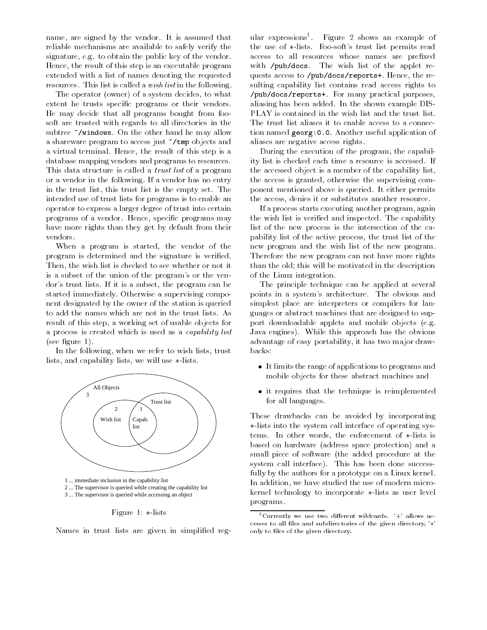name, are signed by the vendor. It is assumed that reliable mechanisms are available to safely verify the signature, e.g. to obtain the public key of the vendor. Hence, the result of this step is an executable program extended with a list of names denoting the requested resources. This list is called a wish list in the following.

The operator (owner) of a system decides, to what extent he trusts specific programs or their vendors. He may decide that all programs bought from foosoft are trusted with regards to all directories in the subtree "/windows. On the other hand he may allow a shareware program to access just ~/tmp objects and a virtual terminal. Hence, the result of this step is a database mapping vendors and programs to resources. This data structure is called a *trust list* of a program or a vendor in the following. If a vendor has no entry in the trust list, this trust list is the empty set. The intended use of trust lists for programs is to enable an operator to express a larger degree of trust into certain programs of a vendor. Hence, specic programs may have more rights than they get by default from their vendors.

When a program is started, the vendor of the program is determined and the signature is veried. Then, the wish list is checked to see whether or not it is a subset of the union of the program's or the vendor's trust lists. If it is a subset, the program can be started immediately. Otherwise a supervising component designated by the owner of the station is queried to add the names which are not in the trust lists. As result of this step, a working set of usable objects for a process is created which is used as a capability list  $(see figure 1).$ 

In the following, when we refer to wish lists, trust lists, and capability lists, we will use  $*$ -lists.



Figure 1:  $*$ -lists

Names in trust lists are given in simplified reg-

ular expressions . Figure 2 shows an example of the use of \*-lists. Foo-soft's trust list permits read access to all resources whose names are prefixed with /pub/docs. The wish list of the applet requests access to /pub/docs/reports+. Hence, the resulting capability list contains read access rights to /pub/docs/reports+. For many practical purposes, aliasing has been added. In the shown example DIS-PLAY is contained in the wish list and the trust list. The trust list aliases it to enable access to a connection named georg:0.0. Another useful application of aliases are negative access rights.

During the execution of the program, the capability list is checked each time a resource is accessed. If the accessed object is a member of the capability list, the access is granted, otherwise the supervising component mentioned above is queried. It either permits the access, denies it or substitutes another resource.

If a process starts executing another program, again the wish list is veried and inspected. The capability list of the new process is the intersection of the capability list of the active process, the trust list of the new program and the wish list of the new program. Therefore the new program can not have more rights than the old; this will be motivated in the description of the Linux integration.

The principle technique can be applied at several points in a system's architecture. The obvious and simplest place are interpreters or compilers for languages or abstract machines that are designed to support downloadable applets and mobile objects (e.g. Java engines). While this approach has the obvious advantage of easy portability, it has two major drawbacks:

- It limits the range of applications to programs and mobile objects for these abstract machines and
- it requires that the technique is reimplemented for all languages.

These drawbacks can be avoided by incorporating -lists into the system call interface of operating systems. In other words, the enforcement of \*-lists is based on hardware (address space protection) and a small piece of software (the added procedure at the system call interface). This has been done successfully by the authors for a prototype on a Linux kernel. In addition, we have studied the use of modern microkernel technology to incorporate \*-lists as user level programs.

<sup>&</sup>lt;sup>1</sup>Currently we use two different wildcards. '+' allows accesses to all files and subdirectories of the given directory, '\*' only to files of the given directory.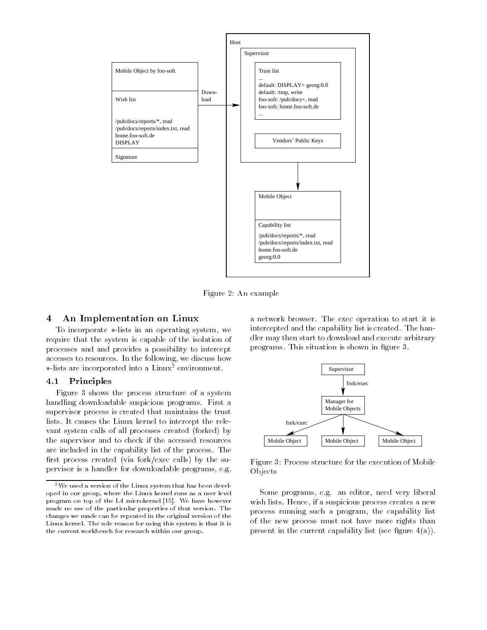

Figure 2: An example

# 4 An Implementation on Linux

To incorporate \*-lists in an operating system, we require that the system is capable of the isolation of processes and and provides a possibility to intercept accesses to resources. In the following, we discuss how -lists are incorporated into a Linux2 environment.

#### 4.1 Principles

Figure 3 shows the process structure of a system handling downloadable suspicious programs. First a supervisor process is created that maintains the trust lists. It causes the Linux kernel to intercept the relevant system calls of all processes created (forked) by the supervisor and to check if the accessed resources are included in the capability list of the process. The first process created (via fork/exec calls) by the supervisor is a handler for downloadable programs, e.g. a network browser. The exec operation to start it is intercepted and the capability list is created. The handler may then start to download and execute arbitrary programs. This situation is shown in figure 3.



Figure 3: Process structure for the execution of Mobile Objects

Some programs, e.g. an editor, need very liberal wish lists. Hence, if a suspicious process creates a new process running such a program, the capability list of the new process must not have more rights than present in the current capability list (see figure  $4(a)$ ).

<sup>2</sup>We used a version of the Linux system that has been developed in our group, where the Linux kernel runs as a user levelprogram on top of the L4 microkernel [15]. We have howevermade no use of the particular properties of that version. Thechanges we made can be repeated in the original version of theLinux kernel. The sole reason for using this system is that it isthe current workbench for research within our group.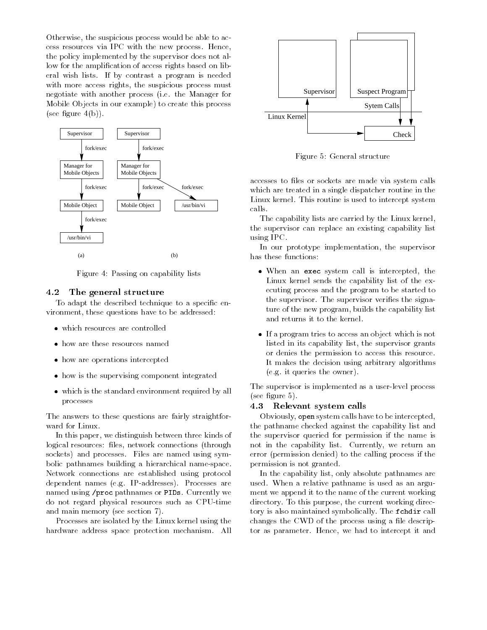Otherwise, the suspicious process would be able to access resources via IPC with the new process. Hence, the policy implemented by the supervisor does not allow for the amplification of access rights based on liberal wish lists. If by contrast a program is needed with more access rights, the suspicious process must negotiate with another process (i.e. the Manager for Mobile Objects in our example) to create this process (see figure  $4(b)$ ).



Figure 4: Passing on capability lists

#### 4.2 The general structure

To adapt the described technique to a specific environment, these questions have to be addressed:

- 
- how are these resources named
- how are operations intercepted
- how is the supervising component integrated
- which is the standard environment required by all processes

The answers to these questions are fairly straightfor ward for Linux.

In this paper, we distinguish between three kinds of logical resources: files, network connections (through sockets) and processes. Files are named using symbolic pathnames building a hierarchical name-space. Network connections are established using protocol dependent names (e.g. IP-addresses). Processes are named using /proc pathnames or PIDs. Currently we do not regard physical resources such as CPU-time and main memory (see section 7).

Processes are isolated by the Linux kernel using the hardware address space protection mechanism. All



Figure 5: General structure

accesses to files or sockets are made via system calls which are treated in a single dispatcher routine in the Linux kernel. This routine is used to intercept system calls

The capability lists are carried by the Linux kernel, the supervisor can replace an existing capability list using IPC.

In our prototype implementation, the supervisor has these functions:

- when an extra system call is intercepted, the Linux kernel sends the capability list of the executing process and the program to be started to the supervisor. The supervisor verifies the signature of the new program, builds the capability list and returns it to the kernel.
- If a program tries to access an object which is not listed in its capability list, the supervisor grants or denies the permission to access this resource. It makes the decision using arbitrary algorithms (e.g. it queries the owner).

The supervisor is implemented as a user-level process (see figure  $5$ ).

#### 4.3 Relevant system calls

Obviously, open system calls have to be intercepted, the pathname checked against the capability list and the supervisor queried for permission if the name is not in the capability list. Currently, we return an error (permission denied) to the calling process if the permission is not granted.

In the capability list, only absolute pathnames are used. When a relative pathname is used as an argu ment we append it to the name of the current working directory. To this purpose, the current working directory is also maintained symbolically. The fchdir call changes the CWD of the process using a file descriptor as parameter. Hence, we had to intercept it and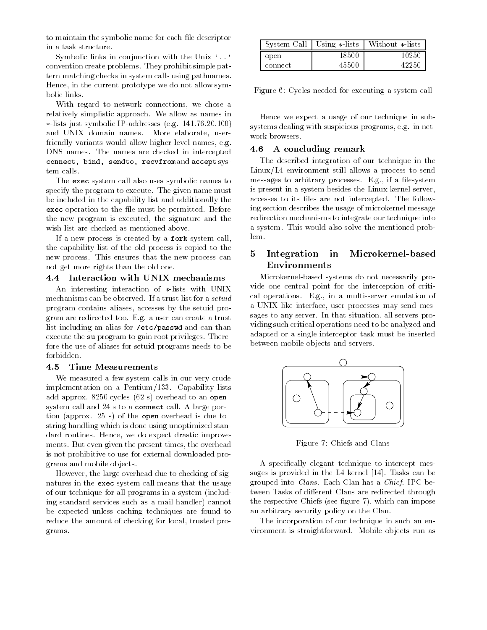to maintain the symbolic name for each file descriptor in a task structure.

Symbolic links in conjunction with the Unix '..' convention create problems. They prohibit simple pattern matching checks in system calls using pathnames. Hence, in the current prototype we do not allow sym-

With regard to network connections, we chose a relatively simplistic approach. We allow as names in  $*$ -lists just symbolic IP-addresses (e.g.  $141.76.20.100$ ) and UNIX domain names. More elaborate, userfriendly variants would allow higher level names, e.g. DNS names. The names are checked in intercepted connect, bind, sendto, recvfrom and accept system calls.

The exec system call also uses symbolic names to specify the program to execute. The given name must be included in the capability list and additionally the exec operation to the le must be permitted. Before the new program is executed, the signature and the wish list are checked as mentioned above.

If a new process is created by a fork system call, the capability list of the old process is copied to the new process. This ensures that the new process can not get more rights than the old one.

# 4.4 Interaction with UNIX mechanisms

An interesting interaction of \*-lists with UNIX mechanisms can be observed. If a trust list for a setuid program contains aliases, accesses by the setuid program are redirected too. E.g. a user can create a trust list including an alias for /etc/passwd and can than execute the su program to gain root privileges. Therefore the use of aliases for setuid programs needs to be forbidden.

### 4.5 Time Measurements

We measured a few system calls in our very crude implementation on a Pentium/133. Capability lists add approx. 8250 cycles (62 s) overhead to an open system call and 24 s to a connect call. A large portion (approx. 25 s) of the open overhead is due to string handling which is done using unoptimized standard routines. Hence, we do expect drastic improve ments. But even given the present times, the overhead is not prohibitive to use for external downloaded programs and mobile objects.

However, the large overhead due to checking of signatures in the exec system call means that the usage of our technique for all programs in a system (including standard services such as a mail handler) cannot be expected unless caching techniques are found to reduce the amount of checking for local, trusted programs.

| System Call |       | Using $*$ -lists   Without $*$ -lists |
|-------------|-------|---------------------------------------|
| open        | 18500 | - 11250 -                             |
| connect     | 45500 | 49956                                 |

Figure 6: Cycles needed for executing a system call

Hence we expect a usage of our technique in subsystems dealing with suspicious programs, e.g. in net work browsers.

# 4.6 A concluding remark

The described integration of our technique in the Linux/L4 environment still allows a process to send messages to arbitrary processes. E.g., if a filesystem is present in a system besides the Linux kernel server, accesses to its files are not intercepted. The following section describes the usage of microkernel message redirection mechanisms to integrate our technique into a system. This would also solve the mentioned problem.

# 5 Integration in Microkernel-based Environments

Microkernel-based systems do not necessarily provide one central point for the interception of critical operations. E.g., in a multi-server emulation of a UNIX-like interface, user processes may send messages to any server. In that situation, all servers providing such critical operations need to be analyzed and adapted or a single interceptor task must be inserted between mobile objects and servers.



Figure 7: Chiefs and Clans

A specically elegant technique to intercept messages is provided in the L4 kernel [14]. Tasks can be grouped into Clans. Each Clan has a Chief. IPC between Tasks of different Clans are redirected through the respective Chiefs (see figure 7), which can impose an arbitrary security policy on the Clan.

The incorporation of our technique in such an environment is straightforward. Mobile objects run as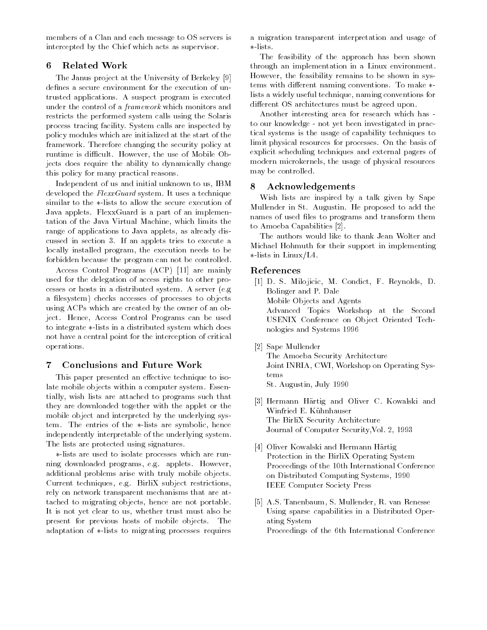members of a Clan and each message to OS servers is intercepted by the Chief which acts as supervisor.

# 6 Related Work

The Janus project at the University of Berkeley [9] defines a secure environment for the execution of untrusted applications. A suspect program is executed under the control of a framework which monitors and restricts the performed system calls using the Solaris process tracing facility. System calls are inspected by policy modules which are initialized at the start of the framework. Therefore changing the security policy at runtime is difficult. However, the use of Mobile Objects does require the ability to dynamically change this policy for many practical reasons.

Independent of us and initial unknown to us, IBM 8 developed the FlexxGuard system. It uses a technique similar to the  $*$ -lists to allow the secure execution of Java applets. FlexxGuard is a part of an implementation of the Java Virtual Machine, which limits the range of applications to Java applets, as already discussed in section 3. If an applets tries to execute a locally installed program, the execution needs to be forbidden because the program can not be controlled.

Access Control Programs (ACP) [11] are mainly used for the delegation of access rights to other processes or hosts in a distributed system. A server (e.g a filesystem) checks accesses of processes to objects using ACPs which are created by the owner of an object. Hence, Access Control Programs can be used to integrate  $*$ -lists in a distributed system which does not have a central point for the interception of critical operations.

#### $\overline{7}$ 7 Conclusions and Future Work

This paper presented an effective technique to isolate mobile objects within a computer system. Essentially, wish lists are attached to programs such that they are downloaded together with the applet or the mobile object and interpreted by the underlying system. The entries of the \*-lists are symbolic, hence independently interpretable of the underlying system. The lists are protected using signatures.

-lists are used to isolate processes which are running downloaded programs, e.g. applets. However, additional problems arise with truly mobile objects. Current techniques, e.g. BirliX subject restrictions, rely on network transparent mechanisms that are attached to migrating objects, hence are not portable. It is not yet clear to us, whether trust must also be present for previous hosts of mobile objects. The adaptation of \*-lists to migrating processes requires a migration transparent interpretation and usage of -lists.

The feasibility of the approach has been shown through an implementation in a Linux environment. However, the feasibility remains to be shown in systems with different naming conventions. To make  $*$ lists a widely useful technique, naming conventions for different OS architectures must be agreed upon.

Another interesting area for research which has to our knowledge - not yet been investigated in practical systems is the usage of capability techniques to limit physical resources for processes. On the basis of explicit scheduling techniques and external pagers of modern microkernels, the usage of physical resources may be controlled.

# Acknowledgements

Wish lists are inspired by a talk given by Sape Mullender in St. Augustin. He proposed to add the names of used files to programs and transform them to Amoeba Capabilities [2].

The authors would like to thank Jean Wolter and Michael Hohmuth for their support in implementing -lists in Linux/L4.

# References

[1] D. S. Milojicic, M. Condict, F. Reynolds, D. Bolinger and P. Dale Mobile Objects and Agents Advanced Topics Workshop at the Second USENIX Conference on Object Oriented Technologies and Systems 1996

# [2] Sape Mullender

The Amoeba Security Architecture Joint INRIA, CWI, Workshop on Operating Systems St. Augustin, July 1990

- [3] Hermann Hartig and Oliver C. Kowalski and Winfried E. Kühnhauser The BirliX Security Architecture Journal of Computer Security,Vol. 2, 1993
- [4] Oliver Kowalski and Hermann Härtig Protection in the BirliX Operating System Proceedings of the 10th International Conference on Distributed Computing Systems, 1990 IEEE Computer Society Press
- [5] A.S. Tanenbaum, S. Mullender, R. van Renesse Using sparse capabilities in a Distributed Operating System Proceedings of the 6th International Conference